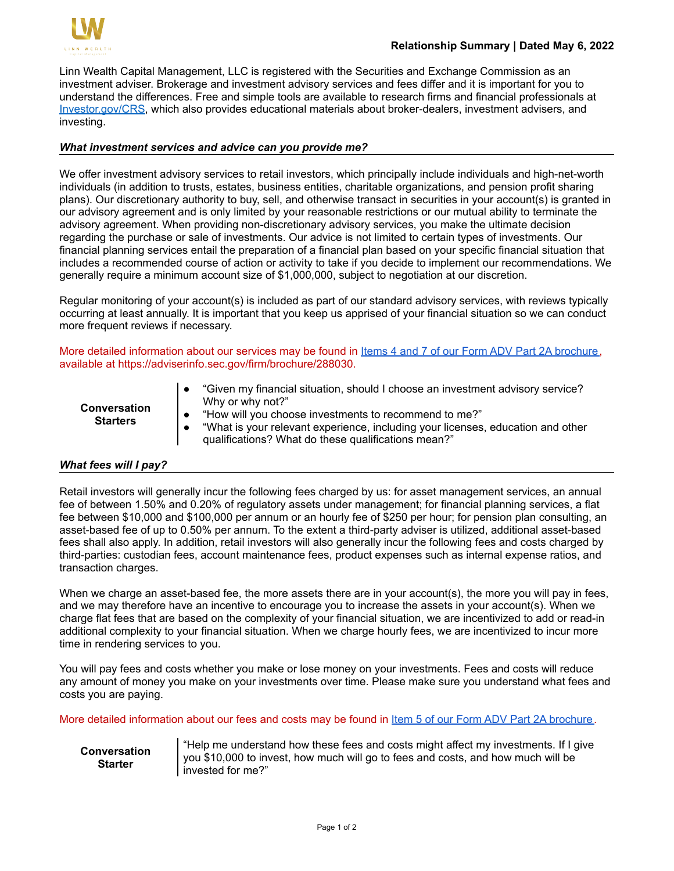

Linn Wealth Capital Management, LLC is registered with the Securities and Exchange Commission as an investment adviser. Brokerage and investment advisory services and fees differ and it is important for you to understand the differences. Free and simple tools are available to research firms and financial professionals at [Investor.gov/CRS,](https://www.investor.gov/CRS) which also provides educational materials about broker-dealers, investment advisers, and investing.

# *What investment services and advice can you provide me?*

We offer investment advisory services to retail investors, which principally include individuals and high-net-worth individuals (in addition to trusts, estates, business entities, charitable organizations, and pension profit sharing plans). Our discretionary authority to buy, sell, and otherwise transact in securities in your account(s) is granted in our advisory agreement and is only limited by your reasonable restrictions or our mutual ability to terminate the advisory agreement. When providing non-discretionary advisory services, you make the ultimate decision regarding the purchase or sale of investments. Our advice is not limited to certain types of investments. Our financial planning services entail the preparation of a financial plan based on your specific financial situation that includes a recommended course of action or activity to take if you decide to implement our recommendations. We generally require a minimum account size of \$1,000,000, subject to negotiation at our discretion.

Regular monitoring of your account(s) is included as part of our standard advisory services, with reviews typically occurring at least annually. It is important that you keep us apprised of your financial situation so we can conduct more frequent reviews if necessary.

More detailed information about our services may be found in [Items 4 and 7 of our Form ADV Part 2A brochure,](https://adviserinfo.sec.gov/firm/brochure/288030) available at https://adviserinfo.sec.gov/firm/brochure/288030.

| <b>Conversation</b><br><b>Starters</b> | "Given my financial situation, should I choose an investment advisory service?<br>Why or why not?"<br>"How will you choose investments to recommend to me?"<br>"What is your relevant experience, including your licenses, education and other<br>qualifications? What do these qualifications mean?" |
|----------------------------------------|-------------------------------------------------------------------------------------------------------------------------------------------------------------------------------------------------------------------------------------------------------------------------------------------------------|
|----------------------------------------|-------------------------------------------------------------------------------------------------------------------------------------------------------------------------------------------------------------------------------------------------------------------------------------------------------|

## *What fees will I pay?*

Retail investors will generally incur the following fees charged by us: for asset management services, an annual fee of between 1.50% and 0.20% of regulatory assets under management; for financial planning services, a flat fee between \$10,000 and \$100,000 per annum or an hourly fee of \$250 per hour; for pension plan consulting, an asset-based fee of up to 0.50% per annum. To the extent a third-party adviser is utilized, additional asset-based fees shall also apply. In addition, retail investors will also generally incur the following fees and costs charged by third-parties: custodian fees, account maintenance fees, product expenses such as internal expense ratios, and transaction charges.

When we charge an asset-based fee, the more assets there are in your account(s), the more you will pay in fees, and we may therefore have an incentive to encourage you to increase the assets in your account(s). When we charge flat fees that are based on the complexity of your financial situation, we are incentivized to add or read-in additional complexity to your financial situation. When we charge hourly fees, we are incentivized to incur more time in rendering services to you.

You will pay fees and costs whether you make or lose money on your investments. Fees and costs will reduce any amount of money you make on your investments over time. Please make sure you understand what fees and costs you are paying.

More detailed information about our fees and costs may be found in [Item 5 of our Form ADV Part 2A brochure.](https://adviserinfo.sec.gov/firm/brochure/288030)

**Conversation Starter**

"Help me understand how these fees and costs might affect my investments. If I give you \$10,000 to invest, how much will go to fees and costs, and how much will be invested for me?"